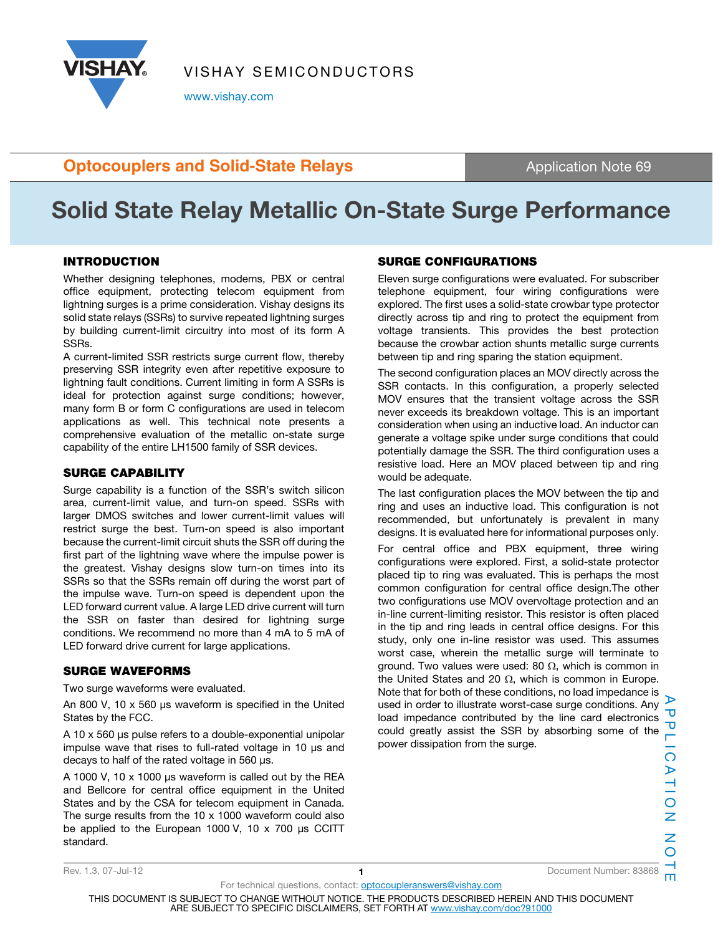

VISHAY SEMICONDUCTORS

www.vishay.com

## **Optocouplers and Solid-State Relays Application Note 69 Application Note 69**

# Solid State Relay Metallic On-State Surge Performance

#### INTRODUCTION

Whether designing telephones, modems, PBX or central office equipment, protecting telecom equipment from lightning surges is a prime consideration. Vishay designs its solid state relays (SSRs) to survive repeated lightning surges by building current-limit circuitry into most of its form A SSRs.

A current-limited SSR restricts surge current flow, thereby preserving SSR integrity even after repetitive exposure to lightning fault conditions. Current limiting in form A SSRs is ideal for protection against surge conditions; however, many form B or form C configurations are used in telecom applications as well. This technical note presents a comprehensive evaluation of the metallic on-state surge capability of the entire LH1500 family of SSR devices.

#### SURGE CAPABILITY

Surge capability is a function of the SSR's switch silicon area, current-limit value, and turn-on speed. SSRs with larger DMOS switches and lower current-limit values will restrict surge the best. Turn-on speed is also important because the current-limit circuit shuts the SSR off during the first part of the lightning wave where the impulse power is the greatest. Vishay designs slow turn-on times into its SSRs so that the SSRs remain off during the worst part of the impulse wave. Turn-on speed is dependent upon the LED forward current value. A large LED drive current will turn the SSR on faster than desired for lightning surge conditions. We recommend no more than 4 mA to 5 mA of LED forward drive current for large applications.

### SURGE WAVEFORMS

Two surge waveforms were evaluated.

An 800 V, 10 x 560 μs waveform is specified in the United States by the FCC.

A 10 x 560 μs pulse refers to a double-exponential unipolar impulse wave that rises to full-rated voltage in 10 μs and decays to half of the rated voltage in 560 μs.

A 1000 V, 10 x 1000 μs waveform is called out by the REA and Bellcore for central office equipment in the United States and by the CSA for telecom equipment in Canada. The surge results from the 10 x 1000 waveform could also be applied to the European 1000 V, 10 x 700 μs CCITT standard.

### SURGE CONFIGURATIONS

Eleven surge configurations were evaluated. For subscriber telephone equipment, four wiring configurations were explored. The first uses a solid-state crowbar type protector directly across tip and ring to protect the equipment from voltage transients. This provides the best protection because the crowbar action shunts metallic surge currents between tip and ring sparing the station equipment.

The second configuration places an MOV directly across the SSR contacts. In this configuration, a properly selected MOV ensures that the transient voltage across the SSR never exceeds its breakdown voltage. This is an important consideration when using an inductive load. An inductor can generate a voltage spike under surge conditions that could potentially damage the SSR. The third configuration uses a resistive load. Here an MOV placed between tip and ring would be adequate.

The last configuration places the MOV between the tip and ring and uses an inductive load. This configuration is not recommended, but unfortunately is prevalent in many designs. It is evaluated here for informational purposes only. For central office and PBX equipment, three wiring configurations were explored. First, a solid-state protector placed tip to ring was evaluated. This is perhaps the most common configuration for central office design.The other two configurations use MOV overvoltage protection and an in-line current-limiting resistor. This resistor is often placed in the tip and ring leads in central office designs. For this study, only one in-line resistor was used. This assumes worst case, wherein the metallic surge will terminate to ground. Two values were used: 80  $\Omega$ , which is common in the United States and 20  $\Omega$ , which is common in Europe. Note that for both of these conditions, no load impedance is used in order to illustrate worst-case surge conditions. Any load impedance contributed by the line card electronics could greatly assist the SSR by absorbing some of the power dissipation from the surge.

Rev. 1.3, 07-Jul-12 2 2009 1 2009 1 2009 1 2009 1 2009 1 2009 1 2009 1 2009 1 2009 1 2009 1 2009 1 2009 1 2009 1 2009 1 2009 1 2009 1 2009 1 2009 1 2009 1 2009 1 2009 1 2009 1 2009 1 2009 1 2009 1 2009 1 2009 1 2009 1 2009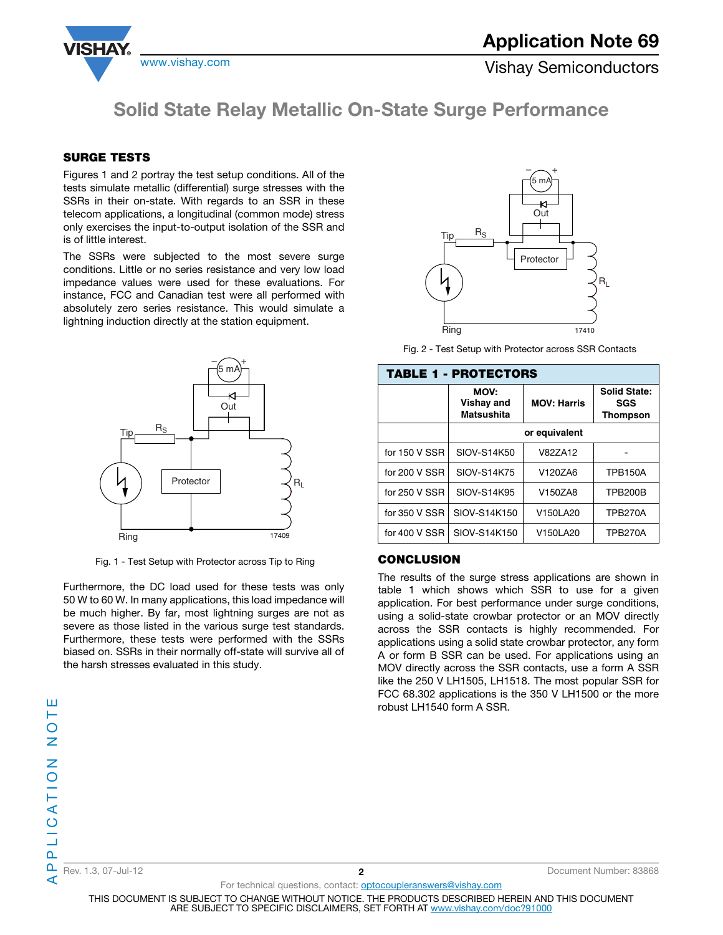

www.vishay.com **Vishay Semiconductors** 

# Solid State Relay Metallic On-State Surge Performance

### SURGE TESTS

Figures 1 and 2 portray the test setup conditions. All of the tests simulate metallic (differential) surge stresses with the SSRs in their on-state. With regards to an SSR in these telecom applications, a longitudinal (common mode) stress only exercises the input-to-output isolation of the SSR and is of little interest.

The SSRs were subjected to the most severe surge conditions. Little or no series resistance and very low load impedance values were used for these evaluations. For instance, FCC and Canadian test were all performed with absolutely zero series resistance. This would simulate a lightning induction directly at the station equipment.



Fig. 1 - Test Setup with Protector across Tip to Ring

Furthermore, the DC load used for these tests was only 50 W to 60 W. In many applications, this load impedance will be much higher. By far, most lightning surges are not as severe as those listed in the various surge test standards. Furthermore, these tests were performed with the SSRs biased on. SSRs in their normally off-state will survive all of the harsh stresses evaluated in this study.



Fig. 2 - Test Setup with Protector across SSR Contacts

| <b>TABLE 1 - PROTECTORS</b> |                                         |                    |                                               |  |  |  |  |  |  |
|-----------------------------|-----------------------------------------|--------------------|-----------------------------------------------|--|--|--|--|--|--|
|                             | MOV:<br>Vishay and<br><b>Matsushita</b> | <b>MOV: Harris</b> | <b>Solid State:</b><br>SGS<br><b>Thompson</b> |  |  |  |  |  |  |
|                             | or equivalent                           |                    |                                               |  |  |  |  |  |  |
| for 150 V SSR               | SIOV-S14K50                             | V82ZA12            |                                               |  |  |  |  |  |  |
| for 200 V SSR               | SIOV-S14K75                             | V120ZA6            | <b>TPB150A</b>                                |  |  |  |  |  |  |
| for 250 V SSR               | SIOV-S14K95                             | V150ZA8            | <b>TPB200B</b>                                |  |  |  |  |  |  |
| for 350 V SSR               | SIOV-S14K150                            | V150LA20           | <b>TPB270A</b>                                |  |  |  |  |  |  |
| for 400 V SSR               | SIOV-S14K150                            | V150LA20           | <b>TPB270A</b>                                |  |  |  |  |  |  |

### **CONCLUSION**

The results of the surge stress applications are shown in table 1 which shows which SSR to use for a given application. For best performance under surge conditions, using a solid-state crowbar protector or an MOV directly across the SSR contacts is highly recommended. For applications using a solid state crowbar protector, any form A or form B SSR can be used. For applications using an MOV directly across the SSR contacts, use a form A SSR like the 250 V LH1505, LH1518. The most popular SSR for FCC 68.302 applications is the 350 V LH1500 or the more robust LH1540 form A SSR.

Rev. 1.3, 07-Jul-12 2 **2 2** Document Number: 83868

For technical questions, contact: **optocoupleranswers@vishay.com** THIS DOCUMENT IS SUBJECT TO CHANGE WITHOUT NOTICE. THE PRODUCTS DESCRIBED HEREIN AND THIS DOCUMENT ARE SUBJECT TO SPECIFIC DISCLAIMERS, SET FORTH AT www.vishay.com/doc?91000